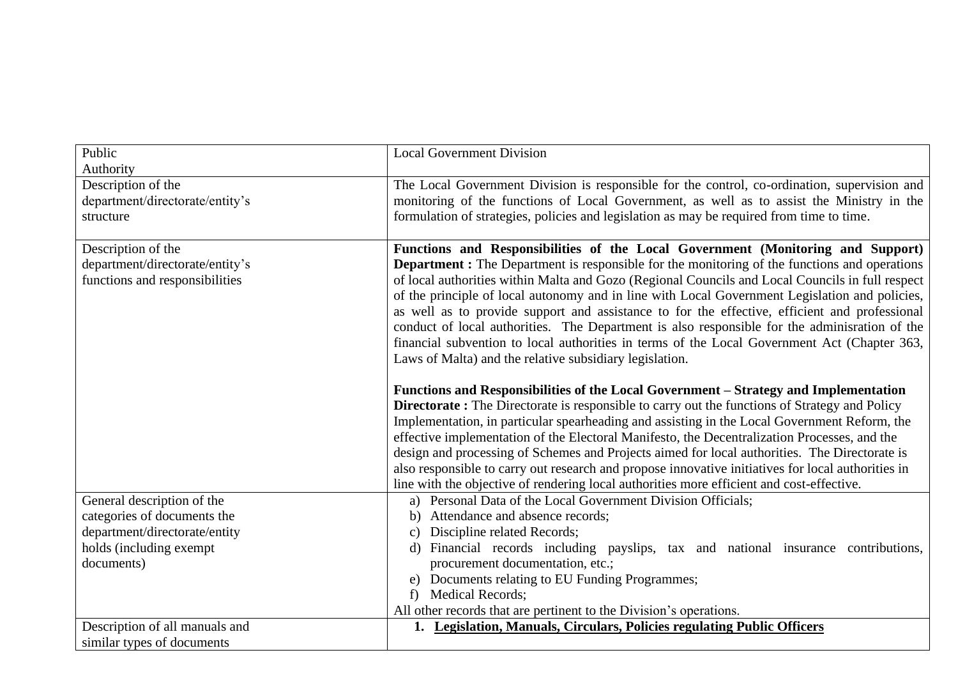| Public                          | <b>Local Government Division</b>                                                                     |
|---------------------------------|------------------------------------------------------------------------------------------------------|
| Authority                       |                                                                                                      |
| Description of the              | The Local Government Division is responsible for the control, co-ordination, supervision and         |
| department/directorate/entity's | monitoring of the functions of Local Government, as well as to assist the Ministry in the            |
| structure                       | formulation of strategies, policies and legislation as may be required from time to time.            |
|                                 |                                                                                                      |
| Description of the              | Functions and Responsibilities of the Local Government (Monitoring and Support)                      |
| department/directorate/entity's | <b>Department :</b> The Department is responsible for the monitoring of the functions and operations |
| functions and responsibilities  | of local authorities within Malta and Gozo (Regional Councils and Local Councils in full respect     |
|                                 | of the principle of local autonomy and in line with Local Government Legislation and policies,       |
|                                 | as well as to provide support and assistance to for the effective, efficient and professional        |
|                                 | conduct of local authorities. The Department is also responsible for the adminisration of the        |
|                                 | financial subvention to local authorities in terms of the Local Government Act (Chapter 363,         |
|                                 | Laws of Malta) and the relative subsidiary legislation.                                              |
|                                 | Functions and Responsibilities of the Local Government – Strategy and Implementation                 |
|                                 | <b>Directorate:</b> The Directorate is responsible to carry out the functions of Strategy and Policy |
|                                 | Implementation, in particular spearheading and assisting in the Local Government Reform, the         |
|                                 | effective implementation of the Electoral Manifesto, the Decentralization Processes, and the         |
|                                 | design and processing of Schemes and Projects aimed for local authorities. The Directorate is        |
|                                 | also responsible to carry out research and propose innovative initiatives for local authorities in   |
|                                 | line with the objective of rendering local authorities more efficient and cost-effective.            |
| General description of the      | a) Personal Data of the Local Government Division Officials;                                         |
| categories of documents the     | Attendance and absence records;<br>b)                                                                |
| department/directorate/entity   | Discipline related Records;<br>$\mathbf{c}$                                                          |
| holds (including exempt         | d) Financial records including payslips, tax and national insurance contributions,                   |
| documents)                      | procurement documentation, etc.;                                                                     |
|                                 | e) Documents relating to EU Funding Programmes;                                                      |
|                                 | <b>Medical Records;</b><br>f                                                                         |
|                                 | All other records that are pertinent to the Division's operations.                                   |
| Description of all manuals and  | 1. Legislation, Manuals, Circulars, Policies regulating Public Officers                              |
| similar types of documents      |                                                                                                      |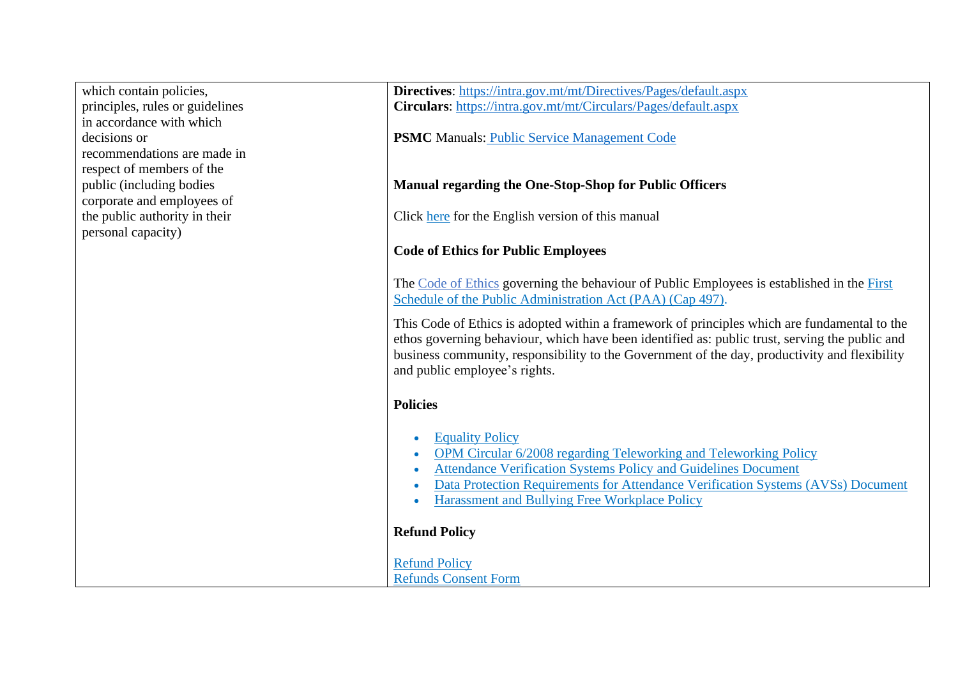which contain policies, principles, rules or guidelines in accordance with which decisions or recommendations are made in respect of members of the public (including bodies corporate and employees of the public authority in their personal capacity)

**Directives**:<https://intra.gov.mt/mt/Directives/Pages/default.aspx> **Circulars**:<https://intra.gov.mt/mt/Circulars/Pages/default.aspx>

**PSMC** Manuals: [Public Service Management Code](http://publicservice.gov.mt/en/Pages/The%20Public%20Service/PSMC.aspx)

## **Manual regarding the One-Stop-Shop for Public Officers**

Click [here](https://publicservice.gov.mt/en/people/Documents/People-Support-Wellbeing/Manuals/Manual-One-Stop-Shop-en.pdf) for the English version of this manual

## **Code of Ethics for Public Employees**

The [Code of Ethics](https://publicservice.gov.mt/en/people/Documents/People-Support-Wellbeing/Policies%20and%20Guidelines/Code-of-Ethics.pdf) governing the behaviour of Public Employees is established in the [First](http://www.justiceservices.gov.mt/DownloadDocument.aspx?app=lom&itemid=8963)  [Schedule of the Public Administration Act \(PAA\) \(Cap 497\).](http://www.justiceservices.gov.mt/DownloadDocument.aspx?app=lom&itemid=8963)

This Code of Ethics is adopted within a framework of principles which are fundamental to the ethos governing behaviour, which have been identified as: public trust, serving the public and business community, responsibility to the Government of the day, productivity and flexibility and public employee's rights.

## **Policies**

- **[Equality Policy](https://publicservice.gov.mt/en/people/Documents/People-Support-Wellbeing/Policies%20and%20Guidelines/Equality-Policy.pdf)**
- [OPM Circular 6/2008 regarding Teleworking and](https://publicservice.gov.mt/en/people/Documents/People-Support-Wellbeing/Policies%20and%20Guidelines/OPMCircular6-2008.pdf) Teleworking Policy
- [Attendance Verification Systems Policy and Guidelines Document](https://publicservice.gov.mt/en/people/Documents/People-Support-Wellbeing/Policies%20and%20Guidelines/avspolicyguidlines.pdf)
- [Data Protection Requirements for Attendance Verification Systems \(AVSs\) Document](https://publicservice.gov.mt/en/people/Documents/People-Support-Wellbeing/Policies%20and%20Guidelines/avsdpguidance.pdf)
- [Harassment and Bullying Free Workplace Policy](https://publicservice.gov.mt/en/people/Documents/People-Support-Wellbeing/Policies%20and%20Guidelines/Employee-Wellbeing-A-Harassment-and-Bullying-Free-Workplace.pdf)

## **Refund Policy**

[Refund Policy](https://publicservice.gov.mt/en/people/Documents/Research-Personnel-Systems/Refund-Policy-2015-Ver1-1a.pdf) [Refunds Consent Form](https://publicservice.gov.mt/en/people/Documents/Research-Personnel-Systems/Refunds-Consent-Form.xlsx)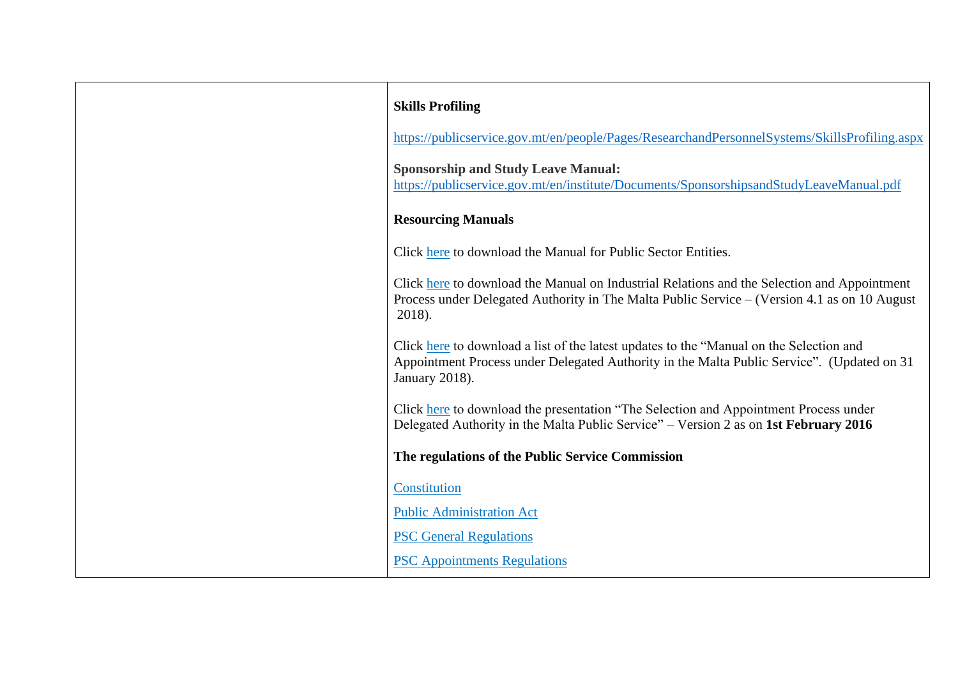| <b>Skills Profiling</b>                                                                                                                                                                                  |
|----------------------------------------------------------------------------------------------------------------------------------------------------------------------------------------------------------|
| https://publicservice.gov.mt/en/people/Pages/ResearchandPersonnelSystems/SkillsProfiling.aspx                                                                                                            |
| <b>Sponsorship and Study Leave Manual:</b><br>https://publicservice.gov.mt/en/institute/Documents/SponsorshipsandStudyLeaveManual.pdf                                                                    |
| <b>Resourcing Manuals</b>                                                                                                                                                                                |
| Click here to download the Manual for Public Sector Entities.                                                                                                                                            |
| Click here to download the Manual on Industrial Relations and the Selection and Appointment<br>Process under Delegated Authority in The Malta Public Service – (Version 4.1 as on 10 August<br>2018).    |
| Click here to download a list of the latest updates to the "Manual on the Selection and<br>Appointment Process under Delegated Authority in the Malta Public Service". (Updated on 31)<br>January 2018). |
| Click here to download the presentation "The Selection and Appointment Process under<br>Delegated Authority in the Malta Public Service" – Version 2 as on 1st February 2016                             |
| The regulations of the Public Service Commission                                                                                                                                                         |
| Constitution                                                                                                                                                                                             |
| <b>Public Administration Act</b>                                                                                                                                                                         |
| <b>PSC General Regulations</b>                                                                                                                                                                           |
| <b>PSC</b> Appointments Regulations                                                                                                                                                                      |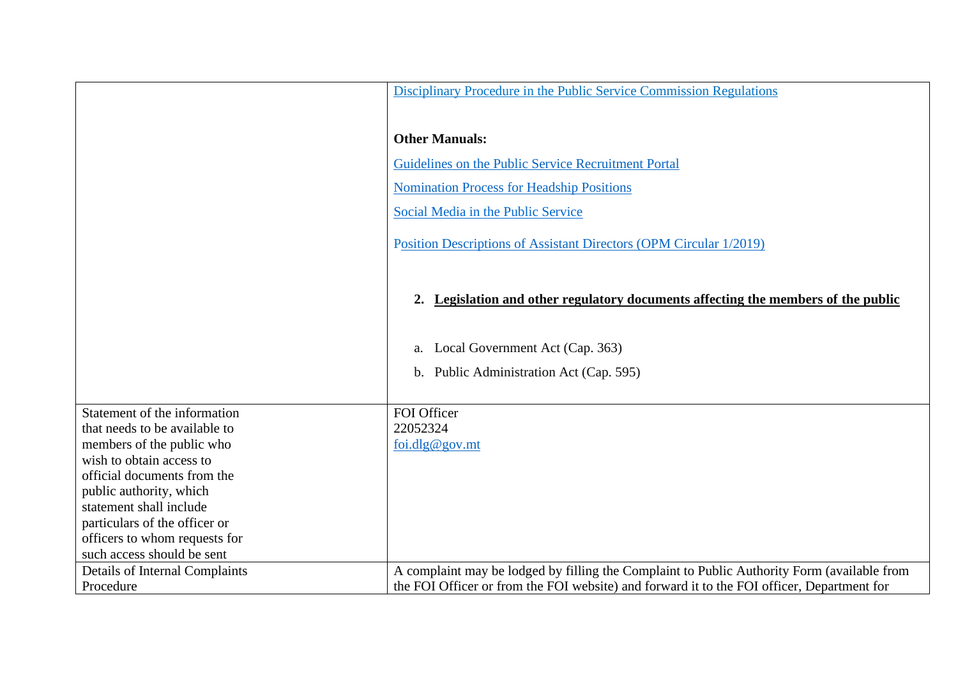|                                       | Disciplinary Procedure in the Public Service Commission Regulations                         |
|---------------------------------------|---------------------------------------------------------------------------------------------|
|                                       |                                                                                             |
|                                       |                                                                                             |
|                                       | <b>Other Manuals:</b>                                                                       |
|                                       | Guidelines on the Public Service Recruitment Portal                                         |
|                                       | <b>Nomination Process for Headship Positions</b>                                            |
|                                       | Social Media in the Public Service                                                          |
|                                       | Position Descriptions of Assistant Directors (OPM Circular 1/2019)                          |
|                                       | Legislation and other regulatory documents affecting the members of the public<br>2.        |
|                                       | a. Local Government Act (Cap. 363)                                                          |
|                                       | b. Public Administration Act (Cap. 595)                                                     |
|                                       |                                                                                             |
| Statement of the information          | FOI Officer                                                                                 |
| that needs to be available to         | 22052324                                                                                    |
| members of the public who             | foi.dlg@gov.mt                                                                              |
| wish to obtain access to              |                                                                                             |
| official documents from the           |                                                                                             |
| public authority, which               |                                                                                             |
| statement shall include               |                                                                                             |
| particulars of the officer or         |                                                                                             |
| officers to whom requests for         |                                                                                             |
| such access should be sent            |                                                                                             |
| <b>Details of Internal Complaints</b> | A complaint may be lodged by filling the Complaint to Public Authority Form (available from |
| Procedure                             | the FOI Officer or from the FOI website) and forward it to the FOI officer, Department for  |